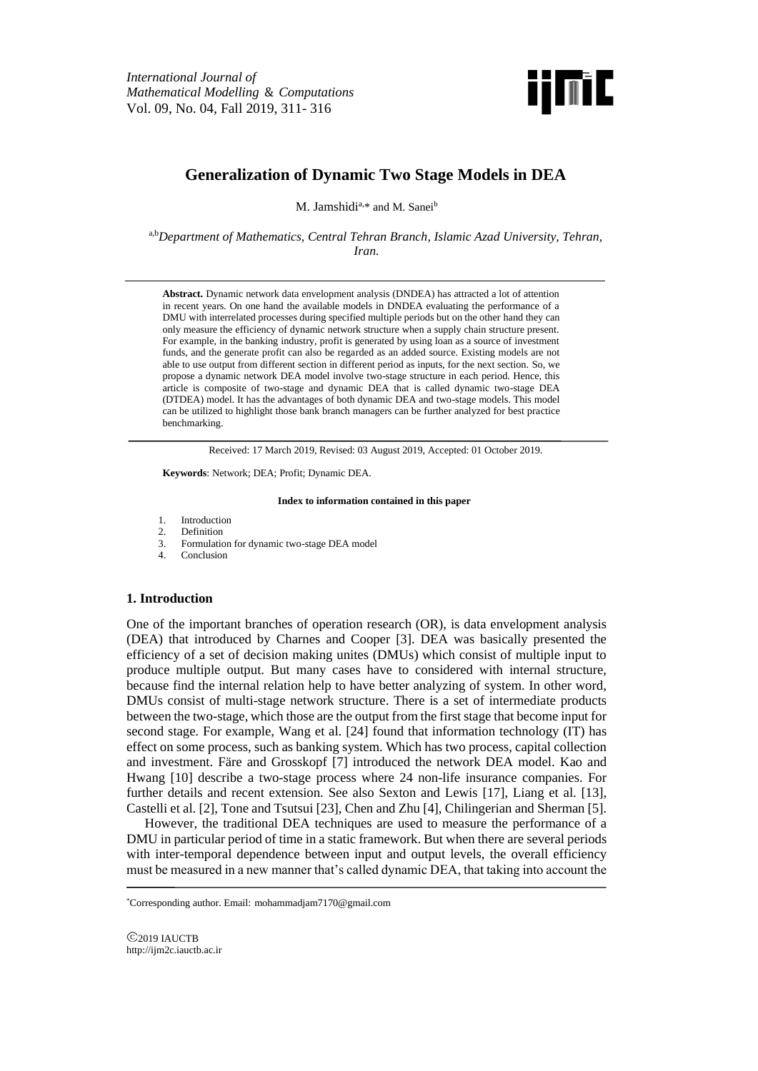

# **Generalization of Dynamic Two Stage Models in DEA**

M. Jamshidi<sup>a,\*</sup> and M. Sanei<sup>b</sup>

a,b*Department of Mathematics, Central Tehran Branch, Islamic Azad University, Tehran, Iran.*

**Abstract.** Dynamic network data envelopment analysis (DNDEA) has attracted a lot of attention in recent years. On one hand the available models in DNDEA evaluating the performance of a DMU with interrelated processes during specified multiple periods but on the other hand they can only measure the efficiency of dynamic network structure when a supply chain structure present. For example, in the banking industry, profit is generated by using loan as a source of investment funds, and the generate profit can also be regarded as an added source. Existing models are not able to use output from different section in different period as inputs, for the next section. So, we propose a dynamic network DEA model involve two-stage structure in each period. Hence, this article is composite of two-stage and dynamic DEA that is called dynamic two-stage DEA (DTDEA) model. It has the advantages of both dynamic DEA and two-stage models. This model can be utilized to highlight those bank branch managers can be further analyzed for best practice benchmarking.

Received: 17 March 2019, Revised: 03 August 2019, Accepted: 01 October 2019.

**Keywords**: Network; DEA; Profit; Dynamic DEA.

#### **Index to information contained in this paper**

- 1. Introduction
- 2. Definition
- 3. Formulation for dynamic two-stage DEA model
- 4. Conclusion

#### **1. Introduction**

One of the important branches of operation research (OR), is data envelopment analysis (DEA) that introduced by Charnes and Cooper [3]. DEA was basically presented the efficiency of a set of decision making unites (DMUs) which consist of multiple input to produce multiple output. But many cases have to considered with internal structure, because find the internal relation help to have better analyzing of system. In other word, DMUs consist of multi-stage network structure. There is a set of intermediate products between the two-stage, which those are the output from the first stage that become input for second stage. For example, Wang et al. [24] found that information technology (IT) has effect on some process, such as banking system. Which has two process, capital collection and investment. Färe and Grosskopf [7] introduced the network DEA model. Kao and Hwang [10] describe a two-stage process where 24 non-life insurance companies. For further details and recent extension. See also Sexton and Lewis [17], Liang et al. [13], Castelli et al. [2], Tone and Tsutsui [23], Chen and Zhu [4], Chilingerian and Sherman [5].

However, the traditional DEA techniques are used to measure the performance of a DMU in particular period of time in a static framework. But when there are several periods with inter-temporal dependence between input and output levels, the overall efficiency must be measured in a new manner that's called dynamic DEA, that taking into account the

2019 IAUCTB http://ijm2c.iauctb.ac.ir

<sup>\*</sup>Corresponding author. Email: mohammadjam7170@gmail.com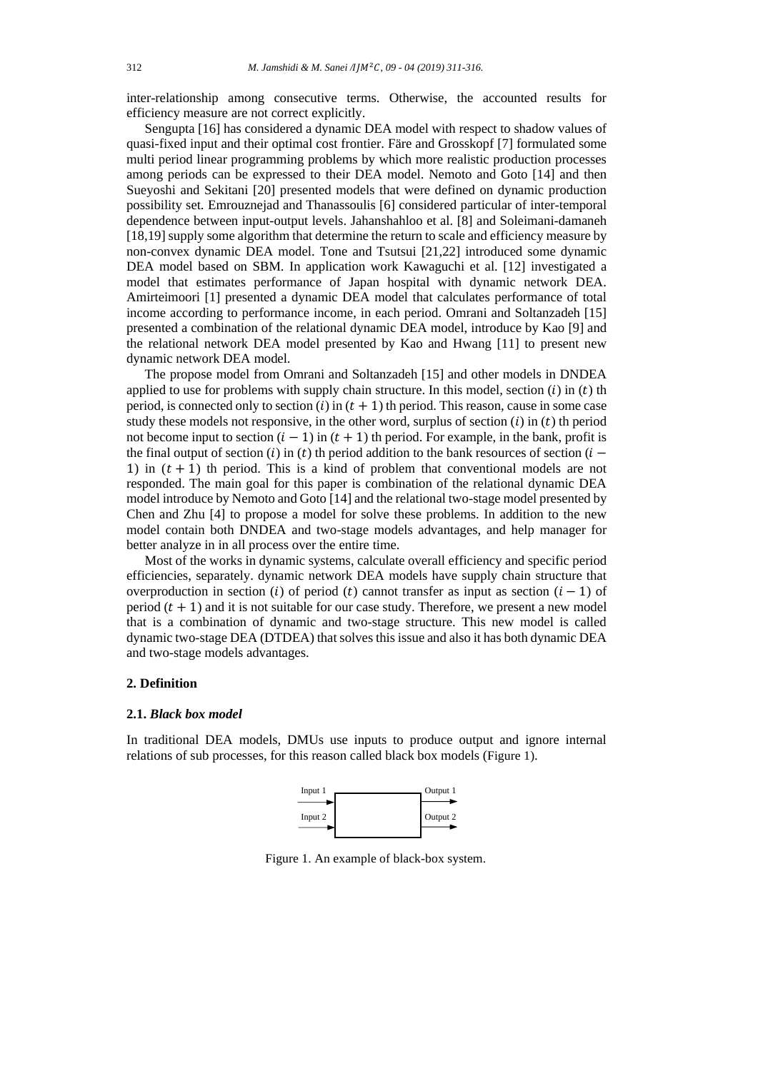inter-relationship among consecutive terms. Otherwise, the accounted results for efficiency measure are not correct explicitly.

Sengupta [16] has considered a dynamic DEA model with respect to shadow values of quasi-fixed input and their optimal cost frontier. Färe and Grosskopf [7] formulated some multi period linear programming problems by which more realistic production processes among periods can be expressed to their DEA model. Nemoto and Goto [14] and then Sueyoshi and Sekitani [20] presented models that were defined on dynamic production possibility set. Emrouznejad and Thanassoulis [6] considered particular of inter-temporal dependence between input-output levels. Jahanshahloo et al. [8] and Soleimani-damaneh [18,19] supply some algorithm that determine the return to scale and efficiency measure by non-convex dynamic DEA model. Tone and Tsutsui [21,22] introduced some dynamic DEA model based on SBM. In application work Kawaguchi et al. [12] investigated a model that estimates performance of Japan hospital with dynamic network DEA. Amirteimoori [1] presented a dynamic DEA model that calculates performance of total income according to performance income, in each period. Omrani and Soltanzadeh [15] presented a combination of the relational dynamic DEA model, introduce by Kao [9] and the relational network DEA model presented by Kao and Hwang [11] to present new dynamic network DEA model.

The propose model from Omrani and Soltanzadeh [15] and other models in DNDEA applied to use for problems with supply chain structure. In this model, section  $(i)$  in  $(t)$  th period, is connected only to section (i) in  $(t + 1)$  th period. This reason, cause in some case study these models not responsive, in the other word, surplus of section  $(i)$  in  $(t)$  th period not become input to section  $(i - 1)$  in  $(t + 1)$  th period. For example, in the bank, profit is the final output of section (i) in (t) th period addition to the bank resources of section ( $i -$ 1) in  $(t + 1)$  th period. This is a kind of problem that conventional models are not responded. The main goal for this paper is combination of the relational dynamic DEA model introduce by Nemoto and Goto [14] and the relational two-stage model presented by Chen and Zhu [4] to propose a model for solve these problems. In addition to the new model contain both DNDEA and two-stage models advantages, and help manager for better analyze in in all process over the entire time.

Most of the works in dynamic systems, calculate overall efficiency and specific period efficiencies, separately. dynamic network DEA models have supply chain structure that overproduction in section (i) of period (t) cannot transfer as input as section  $(i - 1)$  of period  $(t + 1)$  and it is not suitable for our case study. Therefore, we present a new model that is a combination of dynamic and two-stage structure. This new model is called dynamic two-stage DEA (DTDEA) that solves this issue and also it has both dynamic DEA and two-stage models advantages.

#### **2. Definition**

### **2.1.** *Black box model*

In traditional DEA models, DMUs use inputs to produce output and ignore internal relations of sub processes, for this reason called black box models (Figure 1).



Figure 1. An example of black-box system.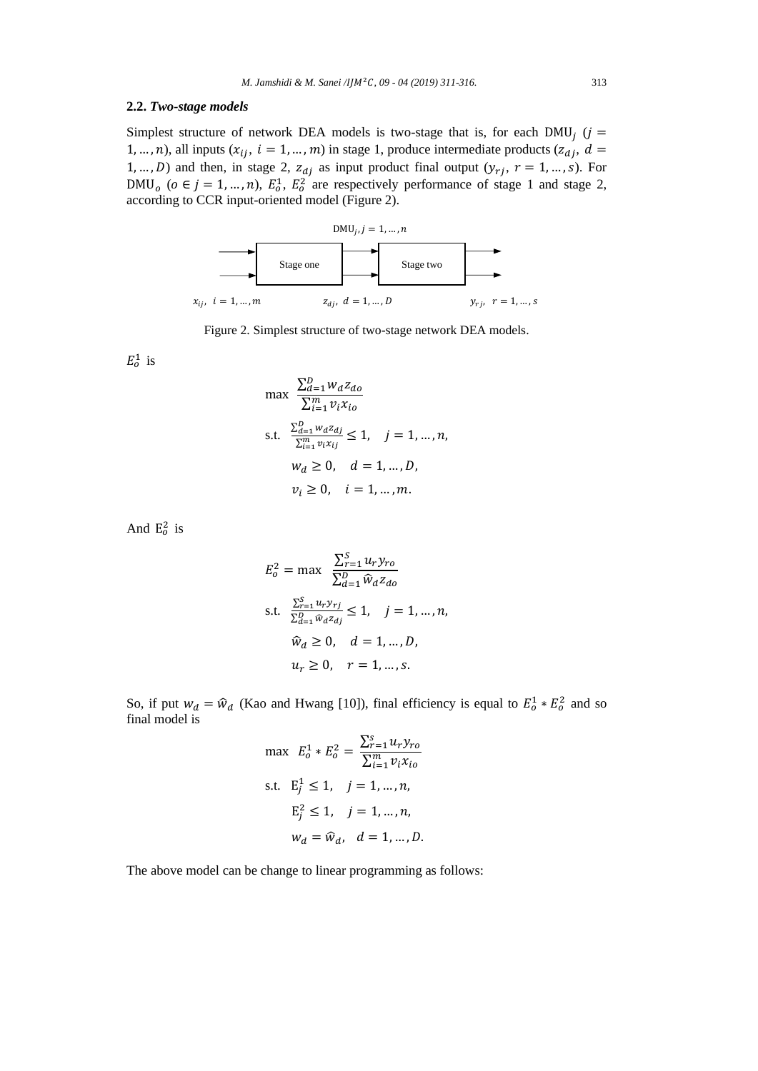## **2.2.** *Two-stage models*

Simplest structure of network DEA models is two-stage that is, for each DMU<sub>j</sub> ( $j =$ 1, ..., n), all inputs  $(x_{ij}, i = 1, ..., m)$  in stage 1, produce intermediate products  $(z_{di}, d =$ 1, ..., *D*) and then, in stage 2,  $z_{dj}$  as input product final output  $(y_{rj}, r = 1, ..., s)$ . For DMU<sub>o</sub> ( $o \in j = 1, ..., n$ ),  $E_0^1$ ,  $E_0^2$  are respectively performance of stage 1 and stage 2, according to CCR input-oriented model (Figure 2).



Figure 2. Simplest structure of two-stage network DEA models.

 $E_o^1$  is

$$
\max \frac{\sum_{d=1}^{D} w_d z_{do}}{\sum_{i=1}^{m} v_i x_{io}}
$$
\ns.t. 
$$
\frac{\sum_{d=1}^{D} w_d z_{dj}}{\sum_{i=1}^{m} v_i x_{ij}} \le 1, \quad j = 1, ..., n,
$$
\n
$$
w_d \ge 0, \quad d = 1, ..., D,
$$
\n
$$
v_i \ge 0, \quad i = 1, ..., m.
$$

And  $E_0^2$  is

$$
E_o^2 = \max \frac{\sum_{r=1}^{S} u_r y_{ro}}{\sum_{d=1}^{D} \widehat{w}_d z_{do}}
$$
  
s.t. 
$$
\frac{\sum_{r=1}^{S} u_r y_{rj}}{\sum_{d=1}^{D} \widehat{w}_d z_{dj}} \le 1, \quad j = 1, ..., n,
$$

$$
\widehat{w}_d \ge 0, \quad d = 1, ..., D,
$$

$$
u_r \ge 0, \quad r = 1, ..., s.
$$

So, if put  $w_d = \hat{w}_d$  (Kao and Hwang [10]), final efficiency is equal to  $E_0^1 * E_0^2$  and so final model is

$$
\max E_o^1 * E_o^2 = \frac{\sum_{r=1}^{S} u_r y_{ro}}{\sum_{i=1}^{m} v_i x_{io}}
$$
\n
$$
\text{s.t. } E_j^1 \le 1, \quad j = 1, \dots, n,
$$
\n
$$
E_j^2 \le 1, \quad j = 1, \dots, n,
$$
\n
$$
w_d = \hat{w}_d, \quad d = 1, \dots, D.
$$

The above model can be change to linear programming as follows: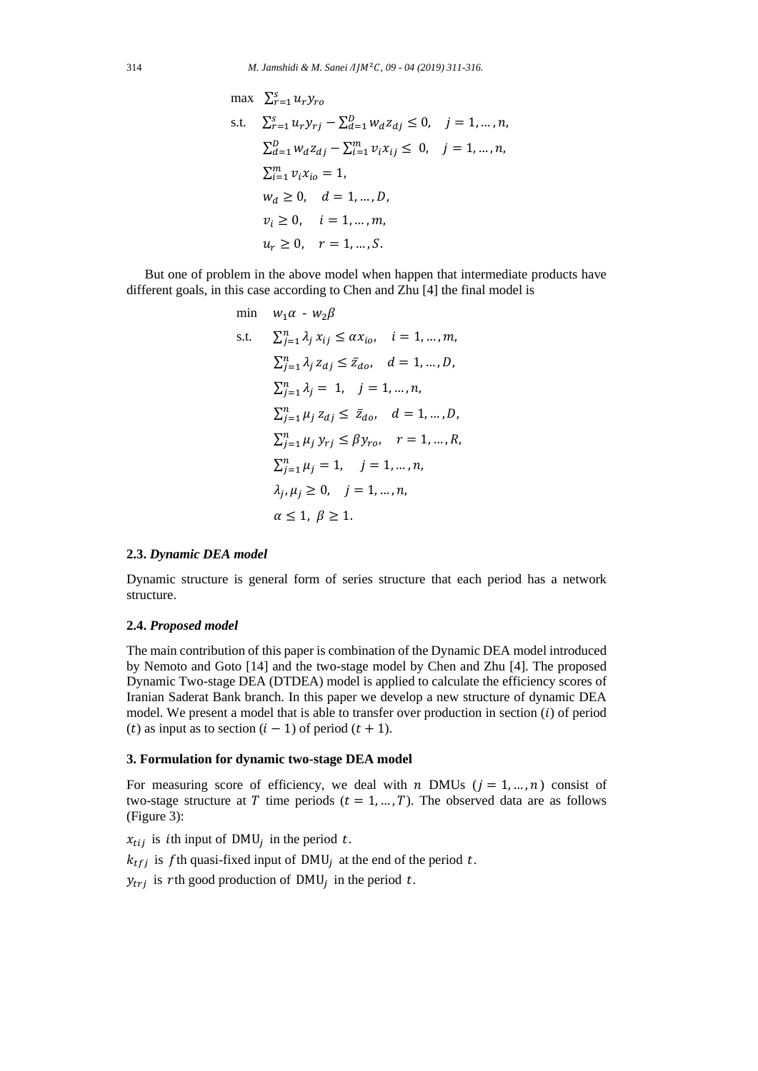max 
$$
\sum_{r=1}^{s} u_r y_{ro}
$$
  
\ns.t.  $\sum_{r=1}^{s} u_r y_{rj} - \sum_{d=1}^{D} w_d z_{dj} \le 0, \quad j = 1, ..., n,$   
\n $\sum_{d=1}^{D} w_d z_{dj} - \sum_{i=1}^{m} v_i x_{ij} \le 0, \quad j = 1, ..., n,$   
\n $\sum_{i=1}^{m} v_i x_{io} = 1,$   
\n $w_d \ge 0, \quad d = 1, ..., D,$   
\n $v_i \ge 0, \quad i = 1, ..., m,$   
\n $u_r \ge 0, \quad r = 1, ..., S.$ 

But one of problem in the above model when happen that intermediate products have different goals, in this case according to Chen and Zhu [4] the final model is

min 
$$
w_1 \alpha - w_2 \beta
$$
  
\ns.t.  $\sum_{j=1}^{n} \lambda_j x_{ij} \le \alpha x_{io}, \quad i = 1, ..., m,$   
\n $\sum_{j=1}^{n} \lambda_j z_{dj} \le \bar{z}_{do}, \quad d = 1, ..., D,$   
\n $\sum_{j=1}^{n} \lambda_j = 1, \quad j = 1, ..., n,$   
\n $\sum_{j=1}^{n} \mu_j z_{dj} \le \bar{z}_{do}, \quad d = 1, ..., D,$   
\n $\sum_{j=1}^{n} \mu_j y_{rj} \le \beta y_{ro}, \quad r = 1, ..., R,$   
\n $\sum_{j=1}^{n} \mu_j = 1, \quad j = 1, ..., n,$   
\n $\lambda_j, \mu_j \ge 0, \quad j = 1, ..., n,$   
\n $\alpha \le 1, \beta \ge 1.$ 

## **2.3.** *Dynamic DEA model*

Dynamic structure is general form of series structure that each period has a network structure.

#### **2.4.** *Proposed model*

The main contribution of this paper is combination of the Dynamic DEA model introduced by Nemoto and Goto [14] and the two-stage model by Chen and Zhu [4]. The proposed Dynamic Two-stage DEA (DTDEA) model is applied to calculate the efficiency scores of Iranian Saderat Bank branch. In this paper we develop a new structure of dynamic DEA model. We present a model that is able to transfer over production in section  $(i)$  of period (t) as input as to section  $(i - 1)$  of period  $(t + 1)$ .

## **3. Formulation for dynamic two-stage DEA model**

For measuring score of efficiency, we deal with  $n$  DMUs ( $j = 1, ..., n$ ) consist of two-stage structure at T time periods  $(t = 1, ..., T)$ . The observed data are as follows (Figure 3):

 $x_{tij}$  is *i*th input of DMU<sub>j</sub> in the period t.

 $k_{tfi}$  is fth quasi-fixed input of DMU<sub>i</sub> at the end of the period t.

 $y_{trj}$  is rth good production of DMU<sub>j</sub> in the period t.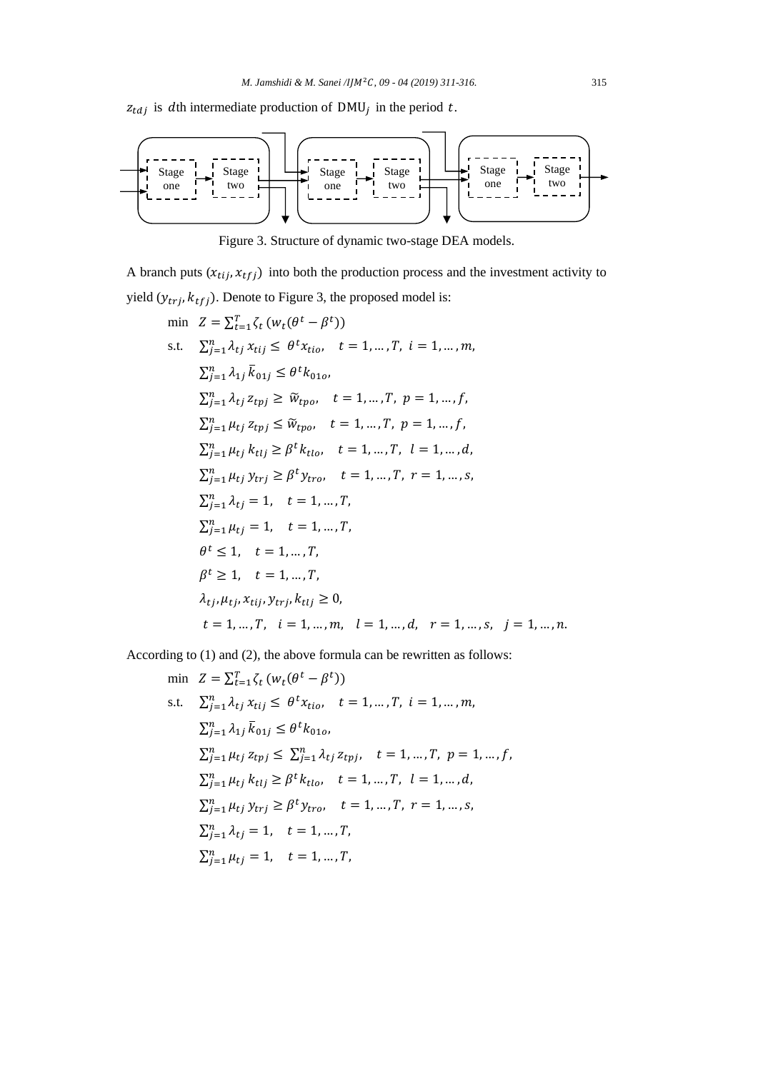$z_{tdj}$  is dth intermediate production of DMU<sub>j</sub> in the period t.



Figure 3. Structure of dynamic two-stage DEA models.

A branch puts  $(x_{tij}, x_{tfj})$  into both the production process and the investment activity to yield  $(y_{trj}, k_{tfj})$ . Denote to Figure 3, the proposed model is:

$$
\begin{aligned}\n\min \quad & Z = \sum_{t=1}^{T} \zeta_{t} \left( w_{t}(\theta^{t} - \beta^{t}) \right) \\
\text{s.t.} \quad & \sum_{j=1}^{n} \lambda_{tj} x_{tij} \leq \theta^{t} x_{tio}, \quad t = 1, \dots, T, \quad i = 1, \dots, m, \\
& \sum_{j=1}^{n} \lambda_{1j} \bar{k}_{01j} \leq \theta^{t} k_{01o}, \\
& \sum_{j=1}^{n} \lambda_{tj} z_{tpj} \geq \widetilde{w}_{tpo}, \quad t = 1, \dots, T, \quad p = 1, \dots, f, \\
& \sum_{j=1}^{n} \mu_{tj} z_{tpj} \leq \widetilde{w}_{tpo}, \quad t = 1, \dots, T, \quad p = 1, \dots, f, \\
& \sum_{j=1}^{n} \mu_{tj} k_{tlj} \geq \beta^{t} k_{tlo}, \quad t = 1, \dots, T, \quad l = 1, \dots, d, \\
& \sum_{j=1}^{n} \mu_{tj} y_{trj} \geq \beta^{t} y_{tro}, \quad t = 1, \dots, T, \quad r = 1, \dots, s, \\
& \sum_{j=1}^{n} \lambda_{tj} = 1, \quad t = 1, \dots, T, \\
& \sum_{j=1}^{n} \mu_{tj} = 1, \quad t = 1, \dots, T, \\
& \theta^{t} \leq 1, \quad t = 1, \dots, T, \\
& \theta^{t} \geq 1, \quad t = 1, \dots, T, \\
& \lambda_{tj}, \mu_{tj}, x_{tij}, y_{trj}, k_{tlj} \geq 0, \\
& t = 1, \dots, T, \quad i = 1, \dots, m, \quad l = 1, \dots, d, \quad r = 1, \dots, s, \quad j = 1, \dots, n.\n\end{aligned}
$$

According to (1) and (2), the above formula can be rewritten as follows:

$$
\begin{aligned}\n\min \quad & Z = \sum_{t=1}^{T} \zeta_{t} \left( w_{t}(\theta^{t} - \beta^{t}) \right) \\
\text{s.t.} \quad & \sum_{j=1}^{n} \lambda_{tj} \, x_{tij} \leq \theta^{t} x_{tio}, \quad t = 1, \dots, T, \quad i = 1, \dots, m, \\
& \sum_{j=1}^{n} \lambda_{1j} \, \overline{k}_{01j} \leq \theta^{t} k_{01o}, \\
& \sum_{j=1}^{n} \mu_{tj} \, z_{tpj} \leq \sum_{j=1}^{n} \lambda_{tj} \, z_{tpj}, \quad t = 1, \dots, T, \quad p = 1, \dots, f, \\
& \sum_{j=1}^{n} \mu_{tj} \, k_{tlj} \geq \beta^{t} k_{tlo}, \quad t = 1, \dots, T, \quad l = 1, \dots, d, \\
& \sum_{j=1}^{n} \mu_{tj} \, y_{trj} \geq \beta^{t} y_{tro}, \quad t = 1, \dots, T, \quad r = 1, \dots, s, \\
& \sum_{j=1}^{n} \lambda_{tj} = 1, \quad t = 1, \dots, T, \\
& \sum_{j=1}^{n} \mu_{tj} = 1, \quad t = 1, \dots, T,\n\end{aligned}
$$